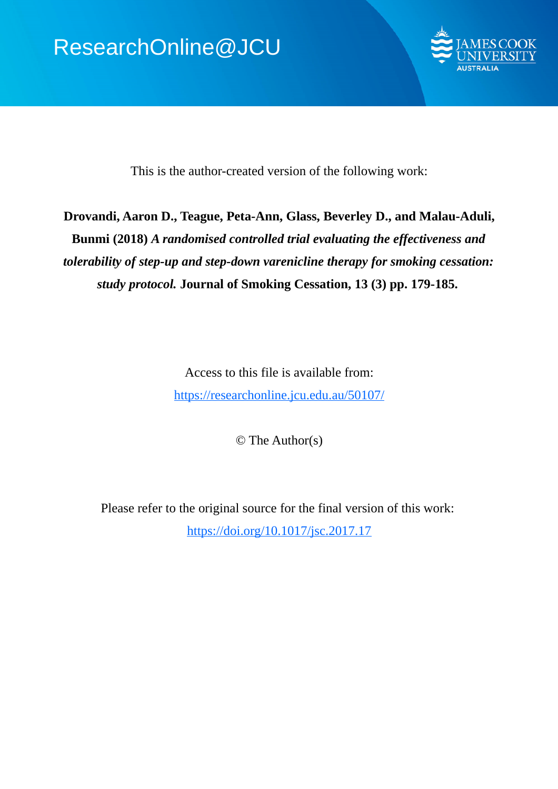

This is the author-created version of the following work:

# **Drovandi, Aaron D., Teague, Peta-Ann, Glass, Beverley D., and Malau-Aduli, Bunmi (2018)** *A randomised controlled trial evaluating the effectiveness and tolerability of step-up and step-down varenicline therapy for smoking cessation: study protocol.* **Journal of Smoking Cessation, 13 (3) pp. 179-185.**

Access to this file is available from: https://researchonline.jcu.edu.au/50107/

© The Author(s)

Please refer to the original source for the final version of this work: https://doi.org/10.1017/jsc.2017.17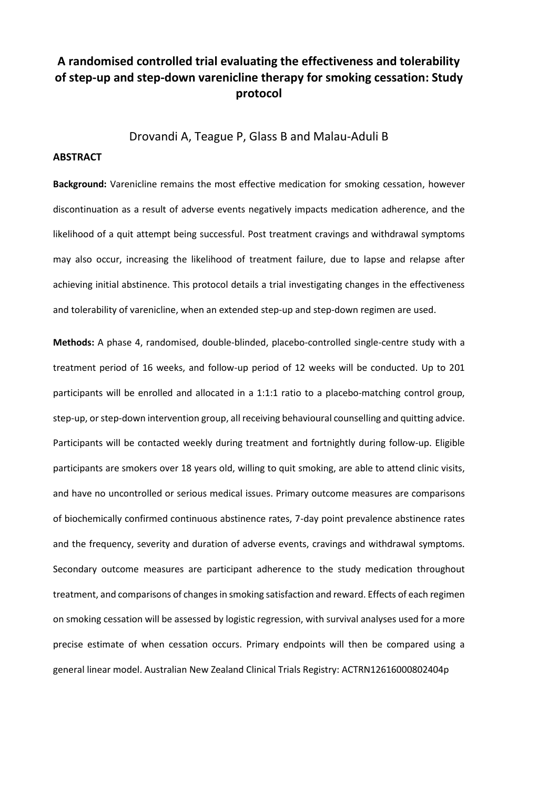## **A randomised controlled trial evaluating the effectiveness and tolerability of step-up and step-down varenicline therapy for smoking cessation: Study protocol**

Drovandi A, Teague P, Glass B and Malau-Aduli B

#### **ABSTRACT**

**Background:** Varenicline remains the most effective medication for smoking cessation, however discontinuation as a result of adverse events negatively impacts medication adherence, and the likelihood of a quit attempt being successful. Post treatment cravings and withdrawal symptoms may also occur, increasing the likelihood of treatment failure, due to lapse and relapse after achieving initial abstinence. This protocol details a trial investigating changes in the effectiveness and tolerability of varenicline, when an extended step-up and step-down regimen are used.

**Methods:** A phase 4, randomised, double-blinded, placebo-controlled single-centre study with a treatment period of 16 weeks, and follow-up period of 12 weeks will be conducted. Up to 201 participants will be enrolled and allocated in a 1:1:1 ratio to a placebo-matching control group, step-up, or step-down intervention group, all receiving behavioural counselling and quitting advice. Participants will be contacted weekly during treatment and fortnightly during follow-up. Eligible participants are smokers over 18 years old, willing to quit smoking, are able to attend clinic visits, and have no uncontrolled or serious medical issues. Primary outcome measures are comparisons of biochemically confirmed continuous abstinence rates, 7-day point prevalence abstinence rates and the frequency, severity and duration of adverse events, cravings and withdrawal symptoms. Secondary outcome measures are participant adherence to the study medication throughout treatment, and comparisons of changes in smoking satisfaction and reward. Effects of each regimen on smoking cessation will be assessed by logistic regression, with survival analyses used for a more precise estimate of when cessation occurs. Primary endpoints will then be compared using a general linear model. Australian New Zealand Clinical Trials Registry: ACTRN12616000802404p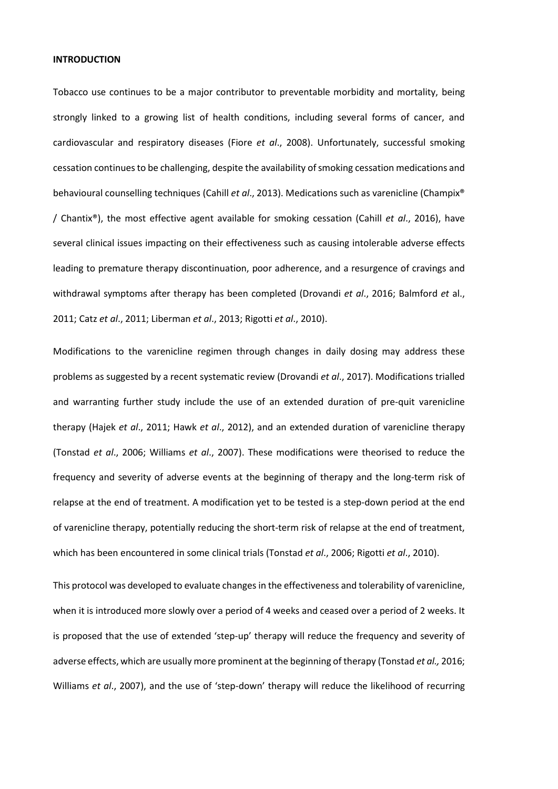#### **INTRODUCTION**

Tobacco use continues to be a major contributor to preventable morbidity and mortality, being strongly linked to a growing list of health conditions, including several forms of cancer, and cardiovascular and respiratory diseases (Fiore *et al*., 2008). Unfortunately, successful smoking cessation continues to be challenging, despite the availability of smoking cessation medications and behavioural counselling techniques (Cahill *et al*., 2013). Medications such as varenicline (Champix® / Chantix®), the most effective agent available for smoking cessation (Cahill *et al*., 2016), have several clinical issues impacting on their effectiveness such as causing intolerable adverse effects leading to premature therapy discontinuation, poor adherence, and a resurgence of cravings and withdrawal symptoms after therapy has been completed (Drovandi *et al*., 2016; Balmford *et* al., 2011; Catz *et al*., 2011; Liberman *et al*., 2013; Rigotti *et al*., 2010).

Modifications to the varenicline regimen through changes in daily dosing may address these problems as suggested by a recent systematic review (Drovandi *et al*., 2017). Modifications trialled and warranting further study include the use of an extended duration of pre-quit varenicline therapy (Hajek *et al*., 2011; Hawk *et al*., 2012), and an extended duration of varenicline therapy (Tonstad *et al*., 2006; Williams *et al*., 2007). These modifications were theorised to reduce the frequency and severity of adverse events at the beginning of therapy and the long-term risk of relapse at the end of treatment. A modification yet to be tested is a step-down period at the end of varenicline therapy, potentially reducing the short-term risk of relapse at the end of treatment, which has been encountered in some clinical trials (Tonstad *et al*., 2006; Rigotti *et al*., 2010).

This protocol was developed to evaluate changes in the effectiveness and tolerability of varenicline, when it is introduced more slowly over a period of 4 weeks and ceased over a period of 2 weeks. It is proposed that the use of extended 'step-up' therapy will reduce the frequency and severity of adverse effects, which are usually more prominent at the beginning of therapy (Tonstad *et al.,* 2016; Williams *et al*., 2007), and the use of 'step-down' therapy will reduce the likelihood of recurring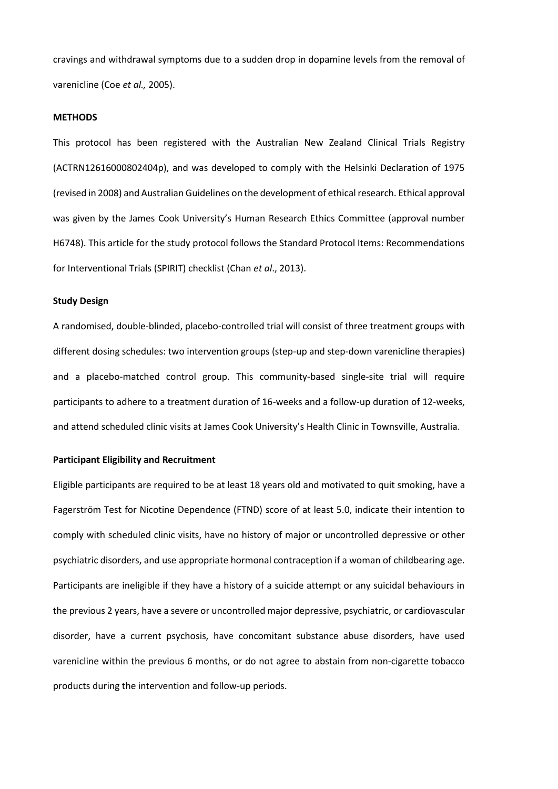cravings and withdrawal symptoms due to a sudden drop in dopamine levels from the removal of varenicline (Coe *et al.,* 2005).

#### **METHODS**

This protocol has been registered with the Australian New Zealand Clinical Trials Registry (ACTRN12616000802404p), and was developed to comply with the Helsinki Declaration of 1975 (revised in 2008) and Australian Guidelines on the development of ethical research. Ethical approval was given by the James Cook University's Human Research Ethics Committee (approval number H6748). This article for the study protocol follows the Standard Protocol Items: Recommendations for Interventional Trials (SPIRIT) checklist (Chan *et al*., 2013).

#### **Study Design**

A randomised, double-blinded, placebo-controlled trial will consist of three treatment groups with different dosing schedules: two intervention groups (step-up and step-down varenicline therapies) and a placebo-matched control group. This community-based single-site trial will require participants to adhere to a treatment duration of 16-weeks and a follow-up duration of 12-weeks, and attend scheduled clinic visits at James Cook University's Health Clinic in Townsville, Australia.

#### **Participant Eligibility and Recruitment**

Eligible participants are required to be at least 18 years old and motivated to quit smoking, have a Fagerström Test for Nicotine Dependence (FTND) score of at least 5.0, indicate their intention to comply with scheduled clinic visits, have no history of major or uncontrolled depressive or other psychiatric disorders, and use appropriate hormonal contraception if a woman of childbearing age. Participants are ineligible if they have a history of a suicide attempt or any suicidal behaviours in the previous 2 years, have a severe or uncontrolled major depressive, psychiatric, or cardiovascular disorder, have a current psychosis, have concomitant substance abuse disorders, have used varenicline within the previous 6 months, or do not agree to abstain from non-cigarette tobacco products during the intervention and follow-up periods.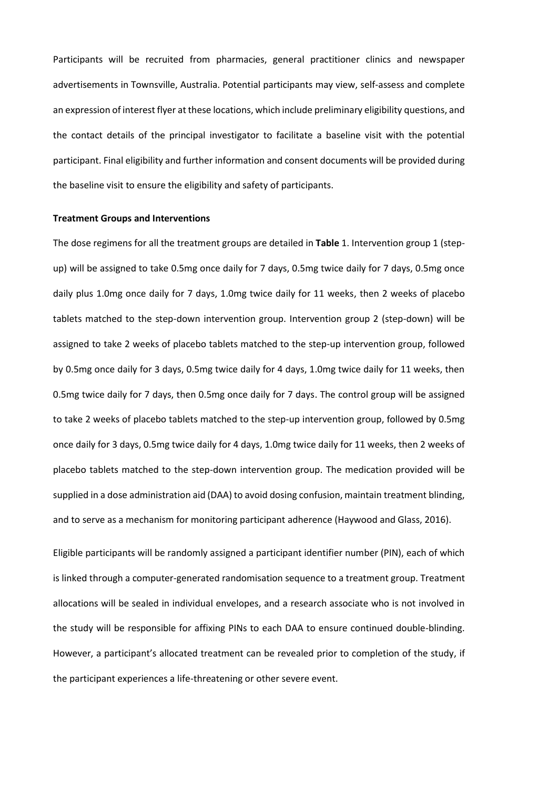Participants will be recruited from pharmacies, general practitioner clinics and newspaper advertisements in Townsville, Australia. Potential participants may view, self-assess and complete an expression of interest flyer at these locations, which include preliminary eligibility questions, and the contact details of the principal investigator to facilitate a baseline visit with the potential participant. Final eligibility and further information and consent documents will be provided during the baseline visit to ensure the eligibility and safety of participants.

#### **Treatment Groups and Interventions**

The dose regimens for all the treatment groups are detailed in **Table** 1. Intervention group 1 (stepup) will be assigned to take 0.5mg once daily for 7 days, 0.5mg twice daily for 7 days, 0.5mg once daily plus 1.0mg once daily for 7 days, 1.0mg twice daily for 11 weeks, then 2 weeks of placebo tablets matched to the step-down intervention group. Intervention group 2 (step-down) will be assigned to take 2 weeks of placebo tablets matched to the step-up intervention group, followed by 0.5mg once daily for 3 days, 0.5mg twice daily for 4 days, 1.0mg twice daily for 11 weeks, then 0.5mg twice daily for 7 days, then 0.5mg once daily for 7 days. The control group will be assigned to take 2 weeks of placebo tablets matched to the step-up intervention group, followed by 0.5mg once daily for 3 days, 0.5mg twice daily for 4 days, 1.0mg twice daily for 11 weeks, then 2 weeks of placebo tablets matched to the step-down intervention group. The medication provided will be supplied in a dose administration aid (DAA) to avoid dosing confusion, maintain treatment blinding, and to serve as a mechanism for monitoring participant adherence (Haywood and Glass, 2016).

Eligible participants will be randomly assigned a participant identifier number (PIN), each of which is linked through a computer-generated randomisation sequence to a treatment group. Treatment allocations will be sealed in individual envelopes, and a research associate who is not involved in the study will be responsible for affixing PINs to each DAA to ensure continued double-blinding. However, a participant's allocated treatment can be revealed prior to completion of the study, if the participant experiences a life-threatening or other severe event.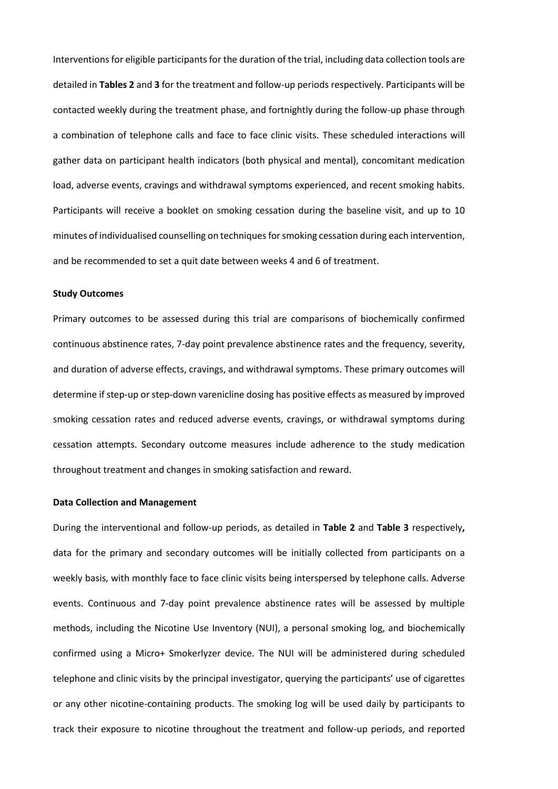Interventions for eligible participants for the duration of the trial, including data collection tools are detailed in **Tables 2** and **3** for the treatment and follow-up periods respectively. Participants will be contacted weekly during the treatment phase, and fortnightly during the follow-up phase through a combination of telephone calls and face to face clinic visits. These scheduled interactions will gather data on participant health indicators (both physical and mental), concomitant medication load, adverse events, cravings and withdrawal symptoms experienced, and recent smoking habits. Participants will receive a booklet on smoking cessation during the baseline visit, and up to 10 minutes of individualised counselling on techniques for smoking cessation during each intervention, and be recommended to set a quit date between weeks 4 and 6 of treatment.

#### **Study Outcomes**

Primary outcomes to be assessed during this trial are comparisons of biochemically confirmed continuous abstinence rates, 7-day point prevalence abstinence rates and the frequency, severity, and duration of adverse effects, cravings, and withdrawal symptoms. These primary outcomes will determine if step-up or step-down varenicline dosing has positive effects as measured by improved smoking cessation rates and reduced adverse events, cravings, or withdrawal symptoms during cessation attempts. Secondary outcome measures include adherence to the study medication throughout treatment and changes in smoking satisfaction and reward.

#### **Data Collection and Management**

During the interventional and follow-up periods, as detailed in **Table 2** and **Table 3** respectively**,**  data for the primary and secondary outcomes will be initially collected from participants on a weekly basis, with monthly face to face clinic visits being interspersed by telephone calls. Adverse events. Continuous and 7-day point prevalence abstinence rates will be assessed by multiple methods, including the Nicotine Use Inventory (NUI), a personal smoking log, and biochemically confirmed using a Micro+ Smokerlyzer device. The NUI will be administered during scheduled telephone and clinic visits by the principal investigator, querying the participants' use of cigarettes or any other nicotine-containing products. The smoking log will be used daily by participants to track their exposure to nicotine throughout the treatment and follow-up periods, and reported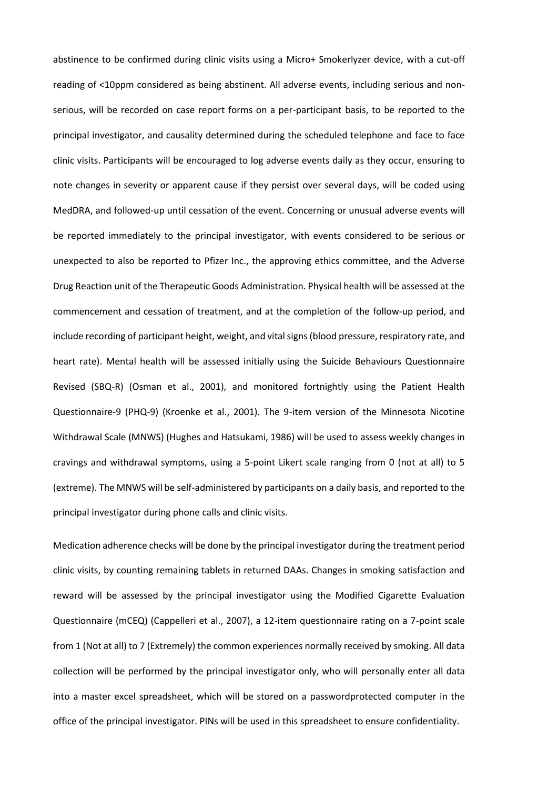abstinence to be confirmed during clinic visits using a Micro+ Smokerlyzer device, with a cut-off reading of <10ppm considered as being abstinent. All adverse events, including serious and nonserious, will be recorded on case report forms on a per-participant basis, to be reported to the principal investigator, and causality determined during the scheduled telephone and face to face clinic visits. Participants will be encouraged to log adverse events daily as they occur, ensuring to note changes in severity or apparent cause if they persist over several days, will be coded using MedDRA, and followed-up until cessation of the event. Concerning or unusual adverse events will be reported immediately to the principal investigator, with events considered to be serious or unexpected to also be reported to Pfizer Inc., the approving ethics committee, and the Adverse Drug Reaction unit of the Therapeutic Goods Administration. Physical health will be assessed at the commencement and cessation of treatment, and at the completion of the follow-up period, and include recording of participant height, weight, and vital signs (blood pressure, respiratory rate, and heart rate). Mental health will be assessed initially using the Suicide Behaviours Questionnaire Revised (SBQ-R) (Osman et al., 2001), and monitored fortnightly using the Patient Health Questionnaire-9 (PHQ-9) (Kroenke et al., 2001). The 9-item version of the Minnesota Nicotine Withdrawal Scale (MNWS) (Hughes and Hatsukami, 1986) will be used to assess weekly changes in cravings and withdrawal symptoms, using a 5-point Likert scale ranging from 0 (not at all) to 5 (extreme). The MNWS will be self-administered by participants on a daily basis, and reported to the principal investigator during phone calls and clinic visits.

Medication adherence checks will be done by the principal investigator during the treatment period clinic visits, by counting remaining tablets in returned DAAs. Changes in smoking satisfaction and reward will be assessed by the principal investigator using the Modified Cigarette Evaluation Questionnaire (mCEQ) (Cappelleri et al., 2007), a 12-item questionnaire rating on a 7-point scale from 1 (Not at all) to 7 (Extremely) the common experiences normally received by smoking. All data collection will be performed by the principal investigator only, who will personally enter all data into a master excel spreadsheet, which will be stored on a passwordprotected computer in the office of the principal investigator. PINs will be used in this spreadsheet to ensure confidentiality.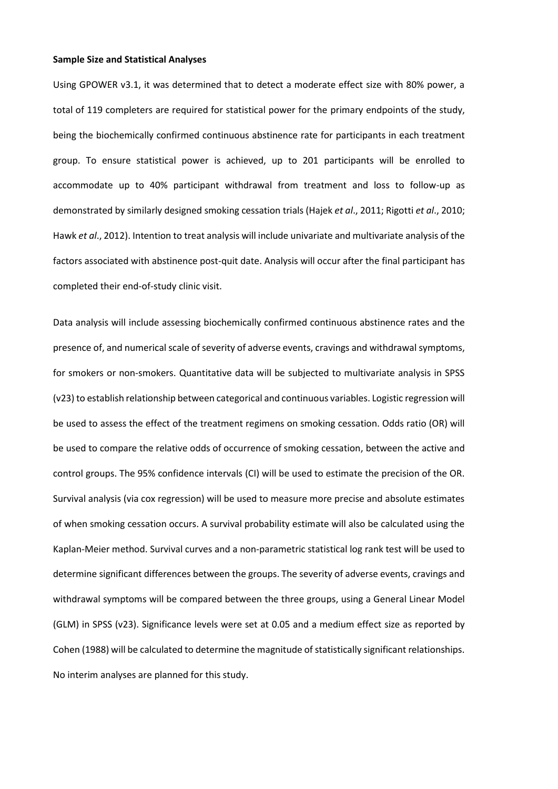#### **Sample Size and Statistical Analyses**

Using GPOWER v3.1, it was determined that to detect a moderate effect size with 80% power, a total of 119 completers are required for statistical power for the primary endpoints of the study, being the biochemically confirmed continuous abstinence rate for participants in each treatment group. To ensure statistical power is achieved, up to 201 participants will be enrolled to accommodate up to 40% participant withdrawal from treatment and loss to follow-up as demonstrated by similarly designed smoking cessation trials (Hajek *et al*., 2011; Rigotti *et al*., 2010; Hawk *et al*., 2012). Intention to treat analysis will include univariate and multivariate analysis of the factors associated with abstinence post-quit date. Analysis will occur after the final participant has completed their end-of-study clinic visit.

Data analysis will include assessing biochemically confirmed continuous abstinence rates and the presence of, and numerical scale of severity of adverse events, cravings and withdrawal symptoms, for smokers or non-smokers. Quantitative data will be subjected to multivariate analysis in SPSS (v23) to establish relationship between categorical and continuous variables. Logistic regression will be used to assess the effect of the treatment regimens on smoking cessation. Odds ratio (OR) will be used to compare the relative odds of occurrence of smoking cessation, between the active and control groups. The 95% confidence intervals (CI) will be used to estimate the precision of the OR. Survival analysis (via cox regression) will be used to measure more precise and absolute estimates of when smoking cessation occurs. A survival probability estimate will also be calculated using the Kaplan-Meier method. Survival curves and a non-parametric statistical log rank test will be used to determine significant differences between the groups. The severity of adverse events, cravings and withdrawal symptoms will be compared between the three groups, using a General Linear Model (GLM) in SPSS (v23). Significance levels were set at 0.05 and a medium effect size as reported by Cohen (1988) will be calculated to determine the magnitude of statistically significant relationships. No interim analyses are planned for this study.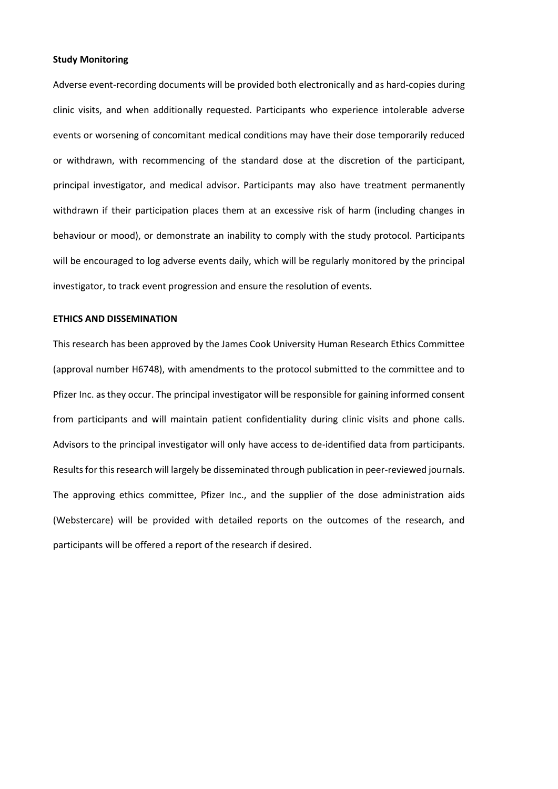#### **Study Monitoring**

Adverse event-recording documents will be provided both electronically and as hard-copies during clinic visits, and when additionally requested. Participants who experience intolerable adverse events or worsening of concomitant medical conditions may have their dose temporarily reduced or withdrawn, with recommencing of the standard dose at the discretion of the participant, principal investigator, and medical advisor. Participants may also have treatment permanently withdrawn if their participation places them at an excessive risk of harm (including changes in behaviour or mood), or demonstrate an inability to comply with the study protocol. Participants will be encouraged to log adverse events daily, which will be regularly monitored by the principal investigator, to track event progression and ensure the resolution of events.

#### **ETHICS AND DISSEMINATION**

This research has been approved by the James Cook University Human Research Ethics Committee (approval number H6748), with amendments to the protocol submitted to the committee and to Pfizer Inc. as they occur. The principal investigator will be responsible for gaining informed consent from participants and will maintain patient confidentiality during clinic visits and phone calls. Advisors to the principal investigator will only have access to de-identified data from participants. Results for this research will largely be disseminated through publication in peer-reviewed journals. The approving ethics committee, Pfizer Inc., and the supplier of the dose administration aids (Webstercare) will be provided with detailed reports on the outcomes of the research, and participants will be offered a report of the research if desired.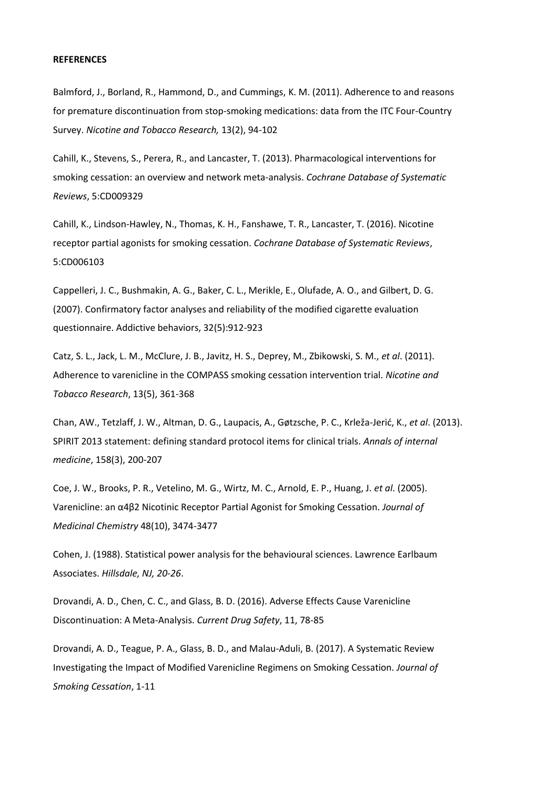#### **REFERENCES**

Balmford, J., Borland, R., Hammond, D., and Cummings, K. M. (2011). Adherence to and reasons for premature discontinuation from stop-smoking medications: data from the ITC Four-Country Survey. *Nicotine and Tobacco Research,* 13(2), 94-102

Cahill, K., Stevens, S., Perera, R., and Lancaster, T. (2013). Pharmacological interventions for smoking cessation: an overview and network meta-analysis. *Cochrane Database of Systematic Reviews*, 5:CD009329

Cahill, K., Lindson-Hawley, N., Thomas, K. H., Fanshawe, T. R., Lancaster, T. (2016). Nicotine receptor partial agonists for smoking cessation. *Cochrane Database of Systematic Reviews*, 5:CD006103

Cappelleri, J. C., Bushmakin, A. G., Baker, C. L., Merikle, E., Olufade, A. O., and Gilbert, D. G. (2007). Confirmatory factor analyses and reliability of the modified cigarette evaluation questionnaire. Addictive behaviors, 32(5):912-923

Catz, S. L., Jack, L. M., McClure, J. B., Javitz, H. S., Deprey, M., Zbikowski, S. M., *et al*. (2011). Adherence to varenicline in the COMPASS smoking cessation intervention trial. *Nicotine and Tobacco Research*, 13(5), 361-368

Chan, AW., Tetzlaff, J. W., Altman, D. G., Laupacis, A., Gøtzsche, P. C., Krleža-Jerić, K., *et al*. (2013). SPIRIT 2013 statement: defining standard protocol items for clinical trials. *Annals of internal medicine*, 158(3), 200-207

Coe, J. W., Brooks, P. R., Vetelino, M. G., Wirtz, M. C., Arnold, E. P., Huang, J. *et al*. (2005). Varenicline: an α4β2 Nicotinic Receptor Partial Agonist for Smoking Cessation. *Journal of Medicinal Chemistry* 48(10), 3474-3477

Cohen, J. (1988). Statistical power analysis for the behavioural sciences. Lawrence Earlbaum Associates. *Hillsdale, NJ, 20-26*.

Drovandi, A. D., Chen, C. C., and Glass, B. D. (2016). Adverse Effects Cause Varenicline Discontinuation: A Meta-Analysis. *Current Drug Safety*, 11, 78-85

Drovandi, A. D., Teague, P. A., Glass, B. D., and Malau-Aduli, B. (2017). A Systematic Review Investigating the Impact of Modified Varenicline Regimens on Smoking Cessation. *Journal of Smoking Cessation*, 1-11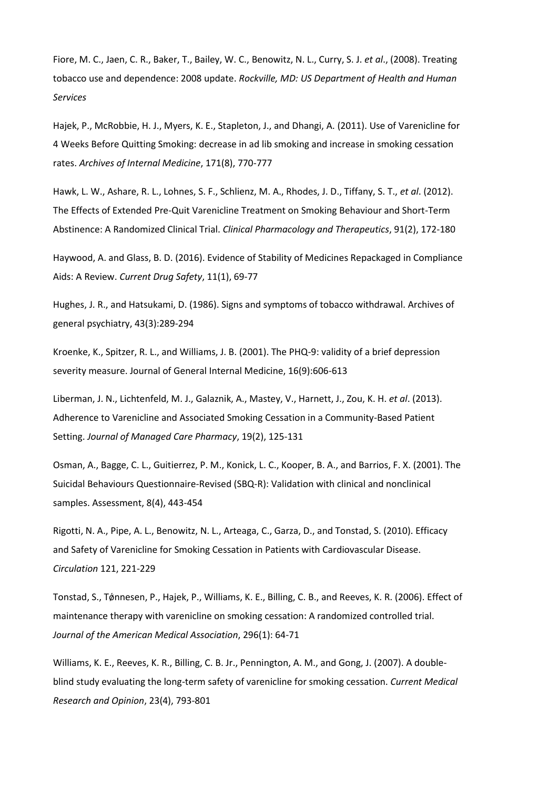Fiore, M. C., Jaen, C. R., Baker, T., Bailey, W. C., Benowitz, N. L., Curry, S. J. *et al*., (2008). Treating tobacco use and dependence: 2008 update. *Rockville, MD: US Department of Health and Human Services*

Hajek, P., McRobbie, H. J., Myers, K. E., Stapleton, J., and Dhangi, A. (2011). Use of Varenicline for 4 Weeks Before Quitting Smoking: decrease in ad lib smoking and increase in smoking cessation rates. *Archives of Internal Medicine*, 171(8), 770-777

Hawk, L. W., Ashare, R. L., Lohnes, S. F., Schlienz, M. A., Rhodes, J. D., Tiffany, S. T., *et al*. (2012). The Effects of Extended Pre-Quit Varenicline Treatment on Smoking Behaviour and Short-Term Abstinence: A Randomized Clinical Trial. *Clinical Pharmacology and Therapeutics*, 91(2), 172-180

Haywood, A. and Glass, B. D. (2016). Evidence of Stability of Medicines Repackaged in Compliance Aids: A Review. *Current Drug Safety*, 11(1), 69-77

Hughes, J. R., and Hatsukami, D. (1986). Signs and symptoms of tobacco withdrawal. Archives of general psychiatry, 43(3):289-294

Kroenke, K., Spitzer, R. L., and Williams, J. B. (2001). The PHQ-9: validity of a brief depression severity measure. Journal of General Internal Medicine, 16(9):606-613

Liberman, J. N., Lichtenfeld, M. J., Galaznik, A., Mastey, V., Harnett, J., Zou, K. H. *et al*. (2013). Adherence to Varenicline and Associated Smoking Cessation in a Community-Based Patient Setting. *Journal of Managed Care Pharmacy*, 19(2), 125-131

Osman, A., Bagge, C. L., Guitierrez, P. M., Konick, L. C., Kooper, B. A., and Barrios, F. X. (2001). The Suicidal Behaviours Questionnaire-Revised (SBQ-R): Validation with clinical and nonclinical samples. Assessment, 8(4), 443-454

Rigotti, N. A., Pipe, A. L., Benowitz, N. L., Arteaga, C., Garza, D., and Tonstad, S. (2010). Efficacy and Safety of Varenicline for Smoking Cessation in Patients with Cardiovascular Disease. *Circulation* 121, 221-229

Tonstad, S., Tǿnnesen, P., Hajek, P., Williams, K. E., Billing, C. B., and Reeves, K. R. (2006). Effect of maintenance therapy with varenicline on smoking cessation: A randomized controlled trial. *Journal of the American Medical Association*, 296(1): 64-71

Williams, K. E., Reeves, K. R., Billing, C. B. Jr., Pennington, A. M., and Gong, J. (2007). A doubleblind study evaluating the long-term safety of varenicline for smoking cessation. *Current Medical Research and Opinion*, 23(4), 793-801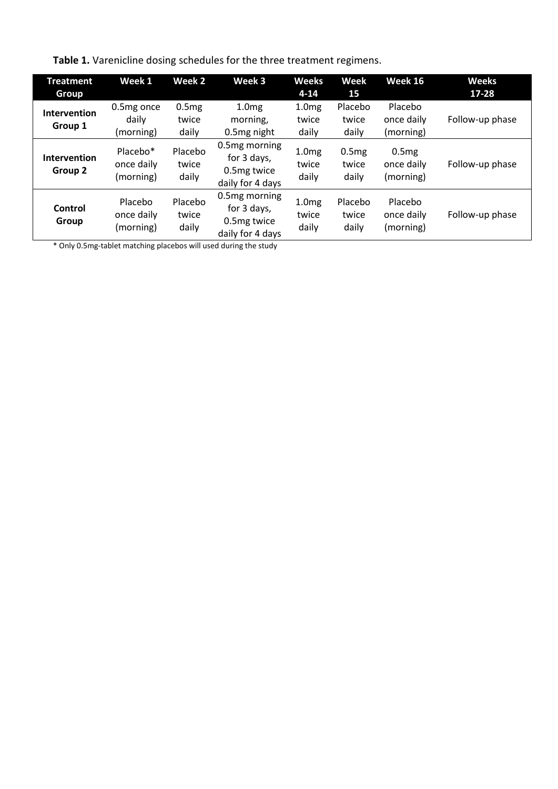**Table 1.** Varenicline dosing schedules for the three treatment regimens.

| <b>Treatment</b><br><b>Group</b> | Week 1                                          | Week 2                    | Week 3                                                          | <b>Weeks</b><br>$4 - 14$            | Week<br>15                | Week 16                            | <b>Weeks</b><br>$17 - 28$ |
|----------------------------------|-------------------------------------------------|---------------------------|-----------------------------------------------------------------|-------------------------------------|---------------------------|------------------------------------|---------------------------|
| <b>Intervention</b><br>Group 1   | 0.5mg once<br>dailv<br>(morning)                | 0.5mg<br>twice<br>daily   | 1.0 <sub>mg</sub><br>morning,<br>0.5mg night                    | 1.0 <sub>mg</sub><br>twice<br>daily | Placebo<br>twice<br>daily | Placebo<br>once daily<br>(morning) | Follow-up phase           |
| Intervention<br>Group 2          | Placebo <sup>*</sup><br>once daily<br>(morning) | Placebo<br>twice<br>daily | 0.5mg morning<br>for 3 days,<br>0.5mg twice<br>daily for 4 days | 1.0 <sub>mg</sub><br>twice<br>daily | 0.5mg<br>twice<br>daily   | 0.5mg<br>once daily<br>(morning)   | Follow-up phase           |
| Control<br>Group                 | Placebo<br>once daily<br>(morning)              | Placebo<br>twice<br>daily | 0.5mg morning<br>for 3 days,<br>0.5mg twice<br>daily for 4 days | 1.0 <sub>mg</sub><br>twice<br>daily | Placebo<br>twice<br>daily | Placebo<br>once daily<br>(morning) | Follow-up phase           |

\* Only 0.5mg-tablet matching placebos will used during the study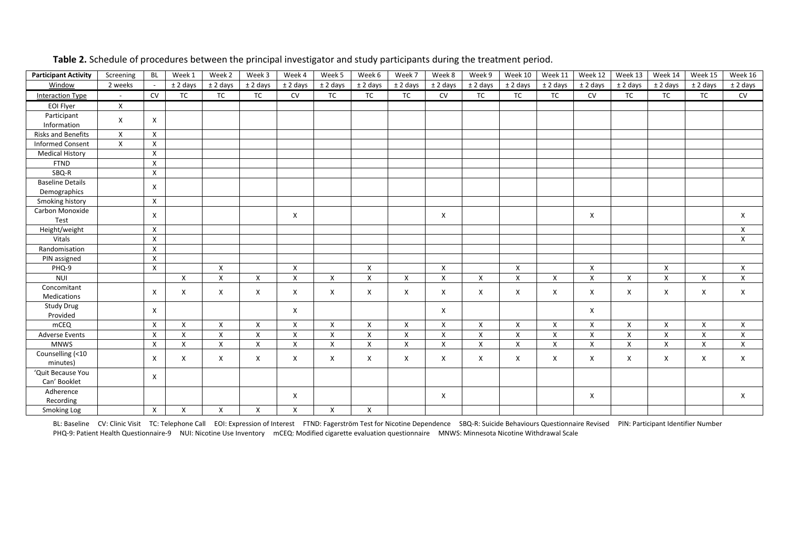| <b>Participant Activity</b> | Screening                 | <b>BL</b>    | Week 1             | Week 2       | Week 3       | Week 4       | Week 5     | Week 6       | Week 7     | Week 8             | Week 9     | Week 10                   | Week 11    | Week 12                   | Week 13    | Week 14      | Week 15      | Week 16    |
|-----------------------------|---------------------------|--------------|--------------------|--------------|--------------|--------------|------------|--------------|------------|--------------------|------------|---------------------------|------------|---------------------------|------------|--------------|--------------|------------|
| Window                      | 2 weeks                   |              | $±$ 2 days         | $±$ 2 days   | $±$ 2 days   | $±$ 2 days   | $±$ 2 days | $±$ 2 days   | $±$ 2 days | $±$ 2 days         | $±$ 2 days | $±$ 2 days                | $±$ 2 days | $±$ 2 days                | $±$ 2 days | $±$ 2 days   | $±$ 2 days   | $±$ 2 days |
| <b>Interaction Type</b>     |                           | <b>CV</b>    | <b>TC</b>          | <b>TC</b>    | <b>TC</b>    | <b>CV</b>    | <b>TC</b>  | <b>TC</b>    | <b>TC</b>  | <b>CV</b>          | <b>TC</b>  | <b>TC</b>                 | <b>TC</b>  | <b>CV</b>                 | <b>TC</b>  | <b>TC</b>    | <b>TC</b>    | <b>CV</b>  |
| EOI Flyer                   | $\boldsymbol{\mathsf{X}}$ |              |                    |              |              |              |            |              |            |                    |            |                           |            |                           |            |              |              |            |
| Participant                 | X                         | X            |                    |              |              |              |            |              |            |                    |            |                           |            |                           |            |              |              |            |
| Information                 |                           |              |                    |              |              |              |            |              |            |                    |            |                           |            |                           |            |              |              |            |
| Risks and Benefits          | X                         | X            |                    |              |              |              |            |              |            |                    |            |                           |            |                           |            |              |              |            |
| <b>Informed Consent</b>     | $\mathsf{x}$              | X            |                    |              |              |              |            |              |            |                    |            |                           |            |                           |            |              |              |            |
| <b>Medical History</b>      |                           | X            |                    |              |              |              |            |              |            |                    |            |                           |            |                           |            |              |              |            |
| <b>FTND</b>                 |                           | X            |                    |              |              |              |            |              |            |                    |            |                           |            |                           |            |              |              |            |
| SBQ-R                       |                           | X            |                    |              |              |              |            |              |            |                    |            |                           |            |                           |            |              |              |            |
| <b>Baseline Details</b>     |                           | X            |                    |              |              |              |            |              |            |                    |            |                           |            |                           |            |              |              |            |
| Demographics                |                           |              |                    |              |              |              |            |              |            |                    |            |                           |            |                           |            |              |              |            |
| Smoking history             |                           | X            |                    |              |              |              |            |              |            |                    |            |                           |            |                           |            |              |              |            |
| Carbon Monoxide             |                           | $\times$     |                    |              |              | X            |            |              |            | X                  |            |                           |            | X                         |            |              |              | X          |
| Test                        |                           |              |                    |              |              |              |            |              |            |                    |            |                           |            |                           |            |              |              |            |
| Height/weight               |                           | X            |                    |              |              |              |            |              |            |                    |            |                           |            |                           |            |              |              | X          |
| Vitals                      |                           | X            |                    |              |              |              |            |              |            |                    |            |                           |            |                           |            |              |              | X          |
| Randomisation               |                           | $\mathsf{X}$ |                    |              |              |              |            |              |            |                    |            |                           |            |                           |            |              |              |            |
| PIN assigned                |                           | $\mathsf{X}$ |                    |              |              |              |            |              |            |                    |            |                           |            |                           |            |              |              |            |
| PHQ-9                       |                           | $\mathsf{X}$ |                    | $\mathsf{x}$ |              | $\mathsf{x}$ |            | $\mathsf{x}$ |            | X                  |            | X                         |            | X                         |            | $\mathsf{x}$ |              | X          |
| <b>NUI</b>                  |                           |              | $\mathsf{x}$       | X            | X            | $\mathsf{x}$ | X          | $\mathsf{x}$ | X          | $\pmb{\mathsf{X}}$ | X          | $\boldsymbol{\mathsf{X}}$ | X          | $\pmb{\times}$            | X          | X            | $\mathsf{x}$ | X          |
| Concomitant                 |                           | X            | X                  | $\times$     | Χ            | X            | X          | X            | X          | X                  | X          | X                         | X          | X                         | X          | X            | X            | X          |
| Medications                 |                           |              |                    |              |              |              |            |              |            |                    |            |                           |            |                           |            |              |              |            |
| Study Drug                  |                           | X            |                    |              |              | X            |            |              |            | X                  |            |                           |            | X                         |            |              |              |            |
| Provided                    |                           |              |                    |              |              |              |            |              |            |                    |            |                           |            |                           |            |              |              |            |
| mCEQ                        |                           | X            | X                  | X            | Χ            | X            | X          | X            | X          | X                  | X          | Χ                         | X          | Χ                         | Χ          | X            | X            | X          |
| <b>Adverse Events</b>       |                           | X            | $\pmb{\mathsf{X}}$ | X            | X            | X            | X          | X            | X          | X                  | X          | Χ                         | X          | $\pmb{\times}$            | X          | X            | X            | X          |
| <b>MNWS</b>                 |                           | X            | X                  | X            | $\mathsf{X}$ | $\mathsf{x}$ | X          | X            | X          | X                  | X          | Χ                         | X          | $\boldsymbol{\mathsf{X}}$ | X          | X            | X            | X          |
| Counselling (<10            |                           | $\times$     | X                  | X            | X            | X            | X          | X            | X          | X                  | X          | Χ                         | X          | X                         | X          | X            | $\times$     | X          |
| minutes)                    |                           |              |                    |              |              |              |            |              |            |                    |            |                           |            |                           |            |              |              |            |
| 'Quit Because You           |                           | X            |                    |              |              |              |            |              |            |                    |            |                           |            |                           |            |              |              |            |
| Can' Booklet                |                           |              |                    |              |              |              |            |              |            |                    |            |                           |            |                           |            |              |              |            |
| Adherence                   |                           |              |                    |              |              | X            |            |              |            | X                  |            |                           |            | X                         |            |              |              | X          |
| Recording                   |                           |              |                    |              |              |              |            |              |            |                    |            |                           |            |                           |            |              |              |            |
| Smoking Log                 |                           | X            | X                  | X            | X            | X            | X          | X            |            |                    |            |                           |            |                           |            |              |              |            |

**Table 2.** Schedule of procedures between the principal investigator and study participants during the treatment period.

BL: Baseline CV: Clinic Visit TC: Telephone Call EOI: Expression of Interest FTND: Fagerström Test for Nicotine Dependence SBQ-R: Suicide Behaviours Questionnaire Revised PIN: Participant Identifier Number PHQ-9: Patient Health Questionnaire-9 NUI: Nicotine Use Inventory mCEQ: Modified cigarette evaluation questionnaire MNWS: Minnesota Nicotine Withdrawal Scale